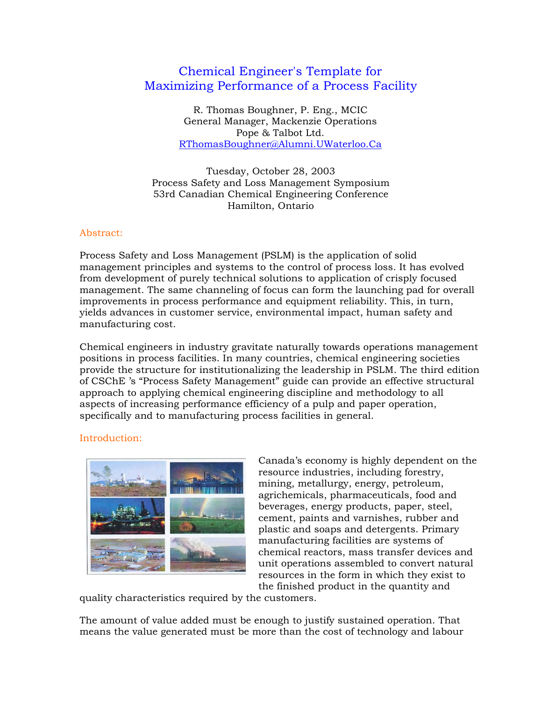# Chemical Engineer's Template for Maximizing Performance of a Process Facility

R. Thomas Boughner, P. Eng., MCIC General Manager, Mackenzie Operations Pope & Talbot Ltd. RThomasBoughner@Alumni.UWaterloo.Ca

Tuesday, October 28, 2003 Process Safety and Loss Management Symposium 53rd Canadian Chemical Engineering Conference Hamilton, Ontario

#### Abstract:

Process Safety and Loss Management (PSLM) is the application of solid management principles and systems to the control of process loss. It has evolved from development of purely technical solutions to application of crisply focused management. The same channeling of focus can form the launching pad for overall improvements in process performance and equipment reliability. This, in turn, yields advances in customer service, environmental impact, human safety and manufacturing cost.

Chemical engineers in industry gravitate naturally towards operations management positions in process facilities. In many countries, chemical engineering societies provide the structure for institutionalizing the leadership in PSLM. The third edition of CSChE 's "Process Safety Management" guide can provide an effective structural approach to applying chemical engineering discipline and methodology to all aspects of increasing performance efficiency of a pulp and paper operation, specifically and to manufacturing process facilities in general.

## Introduction:



Canada's economy is highly dependent on the resource industries, including forestry, mining, metallurgy, energy, petroleum, agrichemicals, pharmaceuticals, food and beverages, energy products, paper, steel, cement, paints and varnishes, rubber and plastic and soaps and detergents. Primary manufacturing facilities are systems of chemical reactors, mass transfer devices and unit operations assembled to convert natural resources in the form in which they exist to the finished product in the quantity and

quality characteristics required by the customers.

The amount of value added must be enough to justify sustained operation. That means the value generated must be more than the cost of technology and labour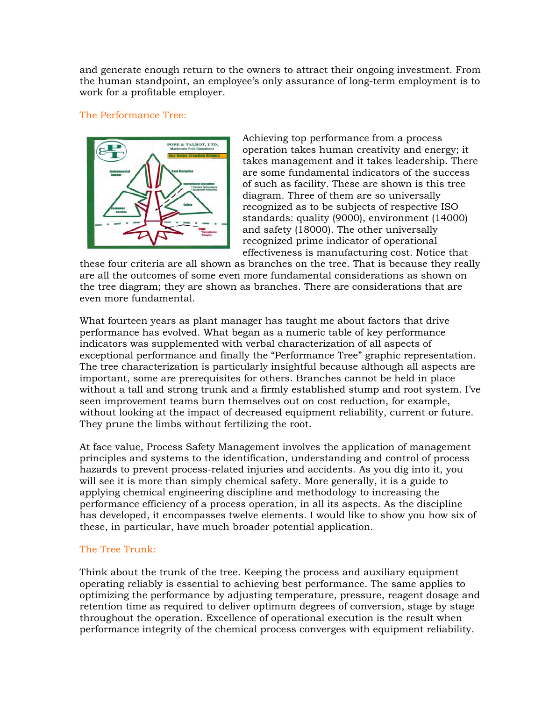and generate enough return to the owners to attract their ongoing investment. From the human standpoint, an employee's only assurance of long-term employment is to work for a profitable employer.

## The Performance Tree:



Achieving top performance from a process operation takes human creativity and energy; it takes management and it takes leadership. There are some fundamental indicators of the success of such as facility. These are shown is this tree diagram. Three of them are so universally recognized as to be subjects of respective ISO standards: quality (9000), environment (14000) and safety (18000). The other universally recognized prime indicator of operational effectiveness is manufacturing cost. Notice that

these four criteria are all shown as branches on the tree. That is because they really are all the outcomes of some even more fundamental considerations as shown on the tree diagram; they are shown as branches. There are considerations that are even more fundamental.

What fourteen years as plant manager has taught me about factors that drive performance has evolved. What began as a numeric table of key performance indicators was supplemented with verbal characterization of all aspects of exceptional performance and finally the "Performance Tree" graphic representation. The tree characterization is particularly insightful because although all aspects are important, some are prerequisites for others. Branches cannot be held in place without a tall and strong trunk and a firmly established stump and root system. I've seen improvement teams burn themselves out on cost reduction, for example, without looking at the impact of decreased equipment reliability, current or future. They prune the limbs without fertilizing the root.

At face value, Process Safety Management involves the application of management principles and systems to the identification, understanding and control of process hazards to prevent process-related injuries and accidents. As you dig into it, you will see it is more than simply chemical safety. More generally, it is a guide to applying chemical engineering discipline and methodology to increasing the performance efficiency of a process operation, in all its aspects. As the discipline has developed, it encompasses twelve elements. I would like to show you how six of these, in particular, have much broader potential application.

## The Tree Trunk:

Think about the trunk of the tree. Keeping the process and auxiliary equipment operating reliably is essential to achieving best performance. The same applies to optimizing the performance by adjusting temperature, pressure, reagent dosage and retention time as required to deliver optimum degrees of conversion, stage by stage throughout the operation. Excellence of operational execution is the result when performance integrity of the chemical process converges with equipment reliability.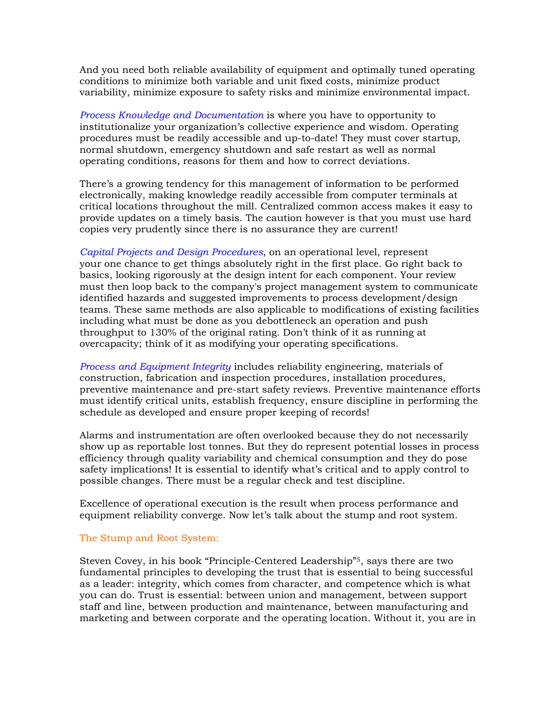And you need both reliable availability of equipment and optimally tuned operating conditions to minimize both variable and unit fixed costs, minimize product variability, minimize exposure to safety risks and minimize environmental impact.

*Process Knowledge and Documentation* is where you have to opportunity to institutionalize your organization's collective experience and wisdom. Operating procedures must be readily accessible and up-to-date! They must cover startup, normal shutdown, emergency shutdown and safe restart as well as normal operating conditions, reasons for them and how to correct deviations.

There's a growing tendency for this management of information to be performed electronically, making knowledge readily accessible from computer terminals at critical locations throughout the mill. Centralized common access makes it easy to provide updates on a timely basis. The caution however is that you must use hard copies very prudently since there is no assurance they are current!

*Capital Projects and Design Procedures*, on an operational level, represent your one chance to get things absolutely right in the first place. Go right back to basics, looking rigorously at the design intent for each component. Your review must then loop back to the company's project management system to communicate identified hazards and suggested improvements to process development/design teams. These same methods are also applicable to modifications of existing facilities including what must be done as you debottleneck an operation and push throughput to 130% of the original rating. Don't think of it as running at overcapacity; think of it as modifying your operating specifications.

*Process and Equipment Integrity* includes reliability engineering, materials of construction, fabrication and inspection procedures, installation procedures, preventive maintenance and pre-start safety reviews. Preventive maintenance efforts must identify critical units, establish frequency, ensure discipline in performing the schedule as developed and ensure proper keeping of records!

Alarms and instrumentation are often overlooked because they do not necessarily show up as reportable lost tonnes. But they do represent potential losses in process efficiency through quality variability and chemical consumption and they do pose safety implications! It is essential to identify what's critical and to apply control to possible changes. There must be a regular check and test discipline.

Excellence of operational execution is the result when process performance and equipment reliability converge. Now let's talk about the stump and root system.

## The Stump and Root System:

Steven Covey, in his book "Principle-Centered Leadership"5, says there are two fundamental principles to developing the trust that is essential to being successful as a leader: integrity, which comes from character, and competence which is what you can do. Trust is essential: between union and management, between support staff and line, between production and maintenance, between manufacturing and marketing and between corporate and the operating location. Without it, you are in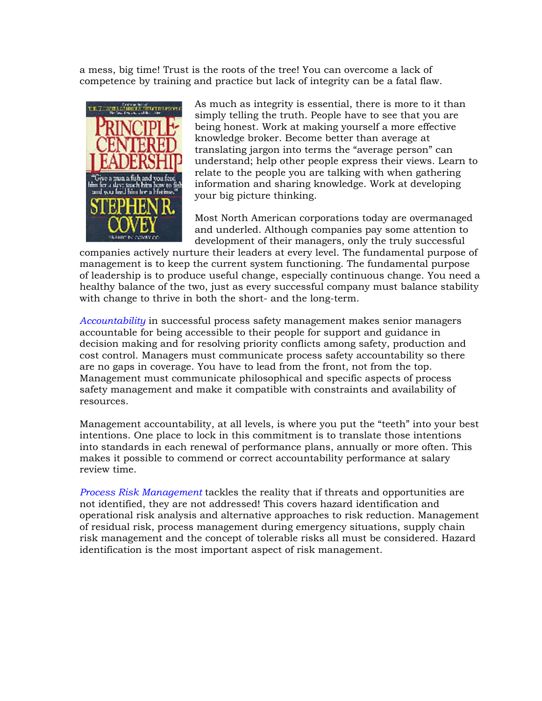a mess, big time! Trust is the roots of the tree! You can overcome a lack of competence by training and practice but lack of integrity can be a fatal flaw.



As much as integrity is essential, there is more to it than simply telling the truth. People have to see that you are being honest. Work at making yourself a more effective knowledge broker. Become better than average at translating jargon into terms the "average person" can understand; help other people express their views. Learn to relate to the people you are talking with when gathering information and sharing knowledge. Work at developing your big picture thinking.

Most North American corporations today are overmanaged and underled. Although companies pay some attention to development of their managers, only the truly successful

companies actively nurture their leaders at every level. The fundamental purpose of management is to keep the current system functioning. The fundamental purpose of leadership is to produce useful change, especially continuous change. You need a healthy balance of the two, just as every successful company must balance stability with change to thrive in both the short- and the long-term.

*Accountability* in successful process safety management makes senior managers accountable for being accessible to their people for support and guidance in decision making and for resolving priority conflicts among safety, production and cost control. Managers must communicate process safety accountability so there are no gaps in coverage. You have to lead from the front, not from the top. Management must communicate philosophical and specific aspects of process safety management and make it compatible with constraints and availability of resources.

Management accountability, at all levels, is where you put the "teeth" into your best intentions. One place to lock in this commitment is to translate those intentions into standards in each renewal of performance plans, annually or more often. This makes it possible to commend or correct accountability performance at salary review time.

*Process Risk Management* tackles the reality that if threats and opportunities are not identified, they are not addressed! This covers hazard identification and operational risk analysis and alternative approaches to risk reduction. Management of residual risk, process management during emergency situations, supply chain risk management and the concept of tolerable risks all must be considered. Hazard identification is the most important aspect of risk management.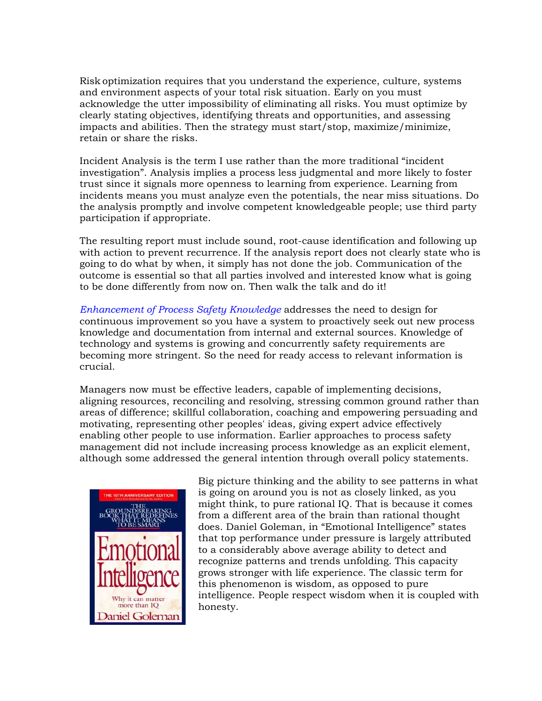Risk optimization requires that you understand the experience, culture, systems and environment aspects of your total risk situation. Early on you must acknowledge the utter impossibility of eliminating all risks. You must optimize by clearly stating objectives, identifying threats and opportunities, and assessing impacts and abilities. Then the strategy must start/stop, maximize/minimize, retain or share the risks.

Incident Analysis is the term I use rather than the more traditional "incident investigation". Analysis implies a process less judgmental and more likely to foster trust since it signals more openness to learning from experience. Learning from incidents means you must analyze even the potentials, the near miss situations. Do the analysis promptly and involve competent knowledgeable people; use third party participation if appropriate.

The resulting report must include sound, root-cause identification and following up with action to prevent recurrence. If the analysis report does not clearly state who is going to do what by when, it simply has not done the job. Communication of the outcome is essential so that all parties involved and interested know what is going to be done differently from now on. Then walk the talk and do it!

*Enhancement of Process Safety Knowledge* addresses the need to design for continuous improvement so you have a system to proactively seek out new process knowledge and documentation from internal and external sources. Knowledge of technology and systems is growing and concurrently safety requirements are becoming more stringent. So the need for ready access to relevant information is crucial.

Managers now must be effective leaders, capable of implementing decisions, aligning resources, reconciling and resolving, stressing common ground rather than areas of difference; skillful collaboration, coaching and empowering persuading and motivating, representing other peoples' ideas, giving expert advice effectively enabling other people to use information. Earlier approaches to process safety management did not include increasing process knowledge as an explicit element, although some addressed the general intention through overall policy statements.



Big picture thinking and the ability to see patterns in what is going on around you is not as closely linked, as you might think, to pure rational IQ. That is because it comes from a different area of the brain than rational thought does. Daniel Goleman, in "Emotional Intelligence" states that top performance under pressure is largely attributed to a considerably above average ability to detect and recognize patterns and trends unfolding. This capacity grows stronger with life experience. The classic term for this phenomenon is wisdom, as opposed to pure intelligence. People respect wisdom when it is coupled with honesty.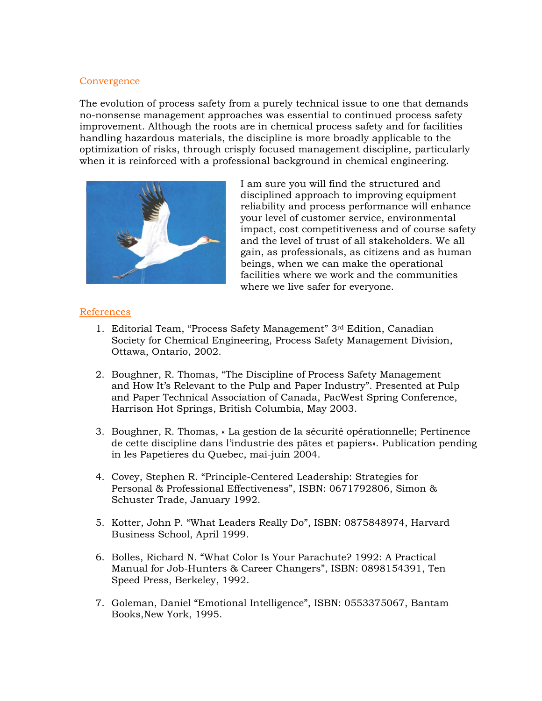## **Convergence**

The evolution of process safety from a purely technical issue to one that demands no-nonsense management approaches was essential to continued process safety improvement. Although the roots are in chemical process safety and for facilities handling hazardous materials, the discipline is more broadly applicable to the optimization of risks, through crisply focused management discipline, particularly when it is reinforced with a professional background in chemical engineering.



I am sure you will find the structured and disciplined approach to improving equipment reliability and process performance will enhance your level of customer service, environmental impact, cost competitiveness and of course safety and the level of trust of all stakeholders. We all gain, as professionals, as citizens and as human beings, when we can make the operational facilities where we work and the communities where we live safer for everyone.

## References

- 1. Editorial Team, "Process Safety Management" 3rd Edition, Canadian Society for Chemical Engineering, Process Safety Management Division, Ottawa, Ontario, 2002.
- 2. Boughner, R. Thomas, "The Discipline of Process Safety Management and How It's Relevant to the Pulp and Paper Industry". Presented at Pulp and Paper Technical Association of Canada, PacWest Spring Conference, Harrison Hot Springs, British Columbia, May 2003.
- 3. Boughner, R. Thomas, « La gestion de la sécurité opérationnelle; Pertinence de cette discipline dans l'industrie des pâtes et papiers». Publication pending in les Papetieres du Quebec, mai-juin 2004.
- 4. Covey, Stephen R. "Principle-Centered Leadership: Strategies for Personal & Professional Effectiveness", ISBN: 0671792806, Simon & Schuster Trade, January 1992.
- 5. Kotter, John P. "What Leaders Really Do", ISBN: 0875848974, Harvard Business School, April 1999.
- 6. Bolles, Richard N. "What Color Is Your Parachute? 1992: A Practical Manual for Job-Hunters & Career Changers", ISBN: 0898154391, Ten Speed Press, Berkeley, 1992.
- 7. Goleman, Daniel "Emotional Intelligence", ISBN: 0553375067, Bantam Books,New York, 1995.